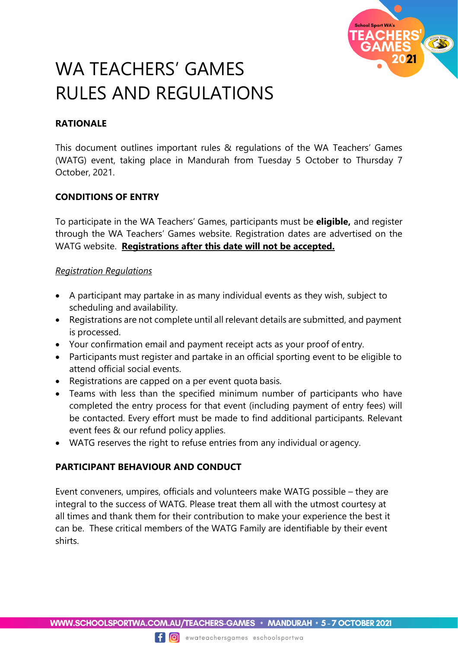

# WA TEACHERS' GAMES RULES AND REGULATIONS

# **RATIONALE**

This document outlines important rules & regulations of the WA Teachers' Games (WATG) event, taking place in Mandurah from Tuesday 5 October to Thursday 7 October, 2021.

# **CONDITIONS OF ENTRY**

To participate in the WA Teachers' Games, participants must be **eligible,** and register through the WA Teachers' Games website. Registration dates are advertised on the WATG website. **Registrations after this date will not be accepted.**

### *Registration Regulations*

- A participant may partake in as many individual events as they wish, subject to scheduling and availability.
- Registrations are not complete until all relevant details are submitted, and payment is processed.
- Your confirmation email and payment receipt acts as your proof of entry.
- Participants must register and partake in an official sporting event to be eligible to attend official social events.
- Registrations are capped on a per event quota basis.
- Teams with less than the specified minimum number of participants who have completed the entry process for that event (including payment of entry fees) will be contacted. Every effort must be made to find additional participants. Relevant event fees & our refund policy applies.
- WATG reserves the right to refuse entries from any individual or agency.

# **PARTICIPANT BEHAVIOUR AND CONDUCT**

Event conveners, umpires, officials and volunteers make WATG possible – they are integral to the success of WATG. Please treat them all with the utmost courtesy at all times and thank them for their contribution to make your experience the best it can be. These critical members of the WATG Family are identifiable by their event shirts.

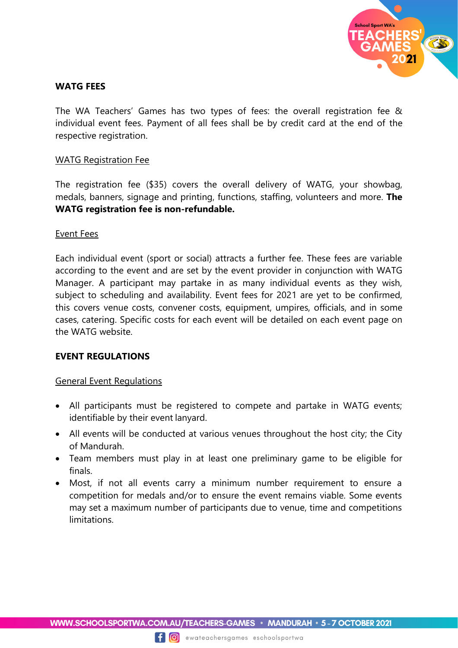

### **WATG FEES**

The WA Teachers' Games has two types of fees: the overall registration fee & individual event fees. Payment of all fees shall be by credit card at the end of the respective registration.

#### WATG Registration Fee

The registration fee (\$35) covers the overall delivery of WATG, your showbag, medals, banners, signage and printing, functions, staffing, volunteers and more. **The WATG registration fee is non-refundable.**

#### Event Fees

Each individual event (sport or social) attracts a further fee. These fees are variable according to the event and are set by the event provider in conjunction with WATG Manager. A participant may partake in as many individual events as they wish, subject to scheduling and availability. Event fees for 2021 are yet to be confirmed, this covers venue costs, convener costs, equipment, umpires, officials, and in some cases, catering. Specific costs for each event will be detailed on each event page on the WATG website.

#### **EVENT REGULATIONS**

#### General Event Regulations

- All participants must be registered to compete and partake in WATG events; identifiable by their event lanyard.
- All events will be conducted at various venues throughout the host city; the City of Mandurah.
- Team members must play in at least one preliminary game to be eligible for finals.
- Most, if not all events carry a minimum number requirement to ensure a competition for medals and/or to ensure the event remains viable. Some events may set a maximum number of participants due to venue, time and competitions limitations.

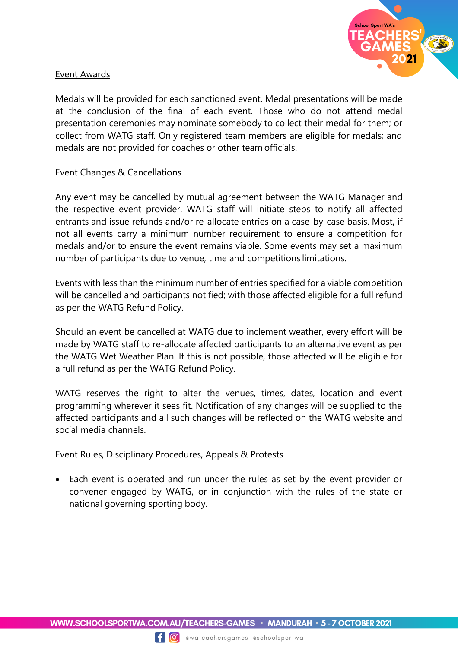

#### Event Awards

Medals will be provided for each sanctioned event. Medal presentations will be made at the conclusion of the final of each event. Those who do not attend medal presentation ceremonies may nominate somebody to collect their medal for them; or collect from WATG staff. Only registered team members are eligible for medals; and medals are not provided for coaches or other team officials.

### Event Changes & Cancellations

Any event may be cancelled by mutual agreement between the WATG Manager and the respective event provider. WATG staff will initiate steps to notify all affected entrants and issue refunds and/or re-allocate entries on a case-by-case basis. Most, if not all events carry a minimum number requirement to ensure a competition for medals and/or to ensure the event remains viable. Some events may set a maximum number of participants due to venue, time and competitions limitations.

Events with less than the minimum number of entries specified for a viable competition will be cancelled and participants notified; with those affected eligible for a full refund as per the WATG Refund Policy.

Should an event be cancelled at WATG due to inclement weather, every effort will be made by WATG staff to re-allocate affected participants to an alternative event as per the WATG Wet Weather Plan. If this is not possible, those affected will be eligible for a full refund as per the WATG Refund Policy.

WATG reserves the right to alter the venues, times, dates, location and event programming wherever it sees fit. Notification of any changes will be supplied to the affected participants and all such changes will be reflected on the WATG website and social media channels.

# Event Rules, Disciplinary Procedures, Appeals & Protests

 Each event is operated and run under the rules as set by the event provider or convener engaged by WATG, or in conjunction with the rules of the state or national governing sporting body.